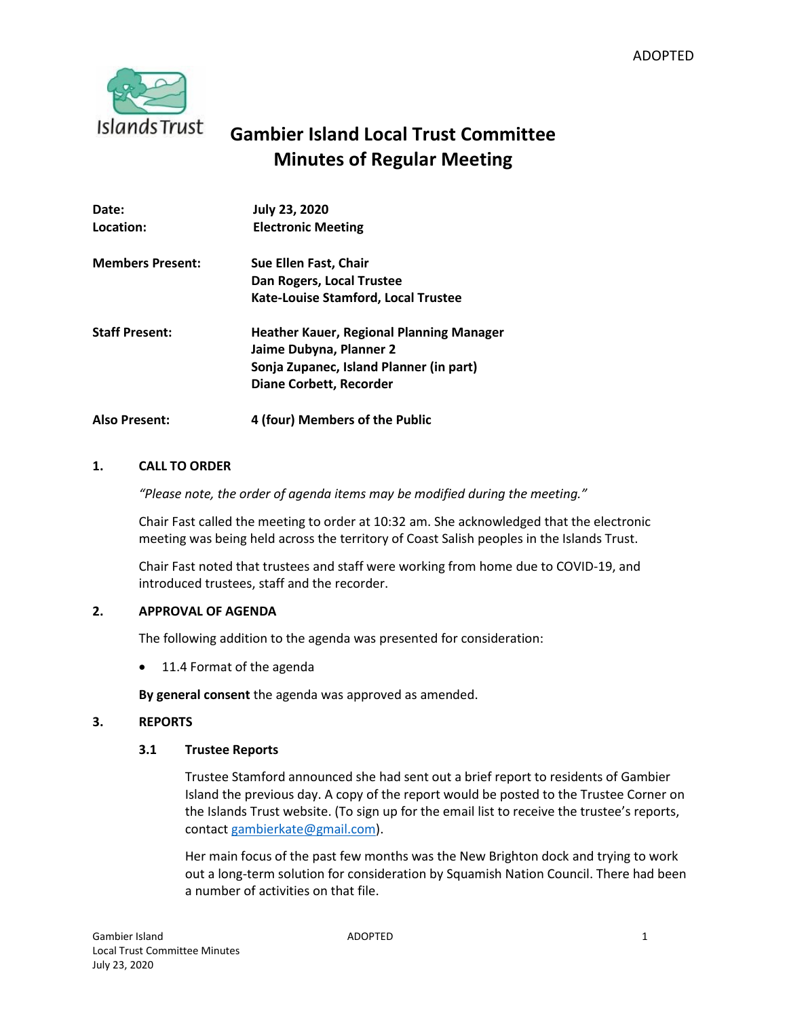

# **Gambier Island Local Trust Committee Minutes of Regular Meeting**

| Date:<br>Location:      | <b>July 23, 2020</b><br><b>Electronic Meeting</b>                                                                                         |
|-------------------------|-------------------------------------------------------------------------------------------------------------------------------------------|
| <b>Members Present:</b> | Sue Ellen Fast, Chair<br>Dan Rogers, Local Trustee                                                                                        |
|                         | Kate-Louise Stamford, Local Trustee                                                                                                       |
| <b>Staff Present:</b>   | Heather Kauer, Regional Planning Manager<br>Jaime Dubyna, Planner 2<br>Sonja Zupanec, Island Planner (in part)<br>Diane Corbett, Recorder |
| <b>Also Present:</b>    | 4 (four) Members of the Public                                                                                                            |

# **1. CALL TO ORDER**

*"Please note, the order of agenda items may be modified during the meeting."*

Chair Fast called the meeting to order at 10:32 am. She acknowledged that the electronic meeting was being held across the territory of Coast Salish peoples in the Islands Trust.

Chair Fast noted that trustees and staff were working from home due to COVID-19, and introduced trustees, staff and the recorder.

# **2. APPROVAL OF AGENDA**

The following addition to the agenda was presented for consideration:

• 11.4 Format of the agenda

**By general consent** the agenda was approved as amended.

## **3. REPORTS**

## **3.1 Trustee Reports**

Trustee Stamford announced she had sent out a brief report to residents of Gambier Island the previous day. A copy of the report would be posted to the Trustee Corner on the Islands Trust website. (To sign up for the email list to receive the trustee's reports, contact [gambierkate@gmail.com\)](mailto:gambierkate@gmail.com).

Her main focus of the past few months was the New Brighton dock and trying to work out a long-term solution for consideration by Squamish Nation Council. There had been a number of activities on that file.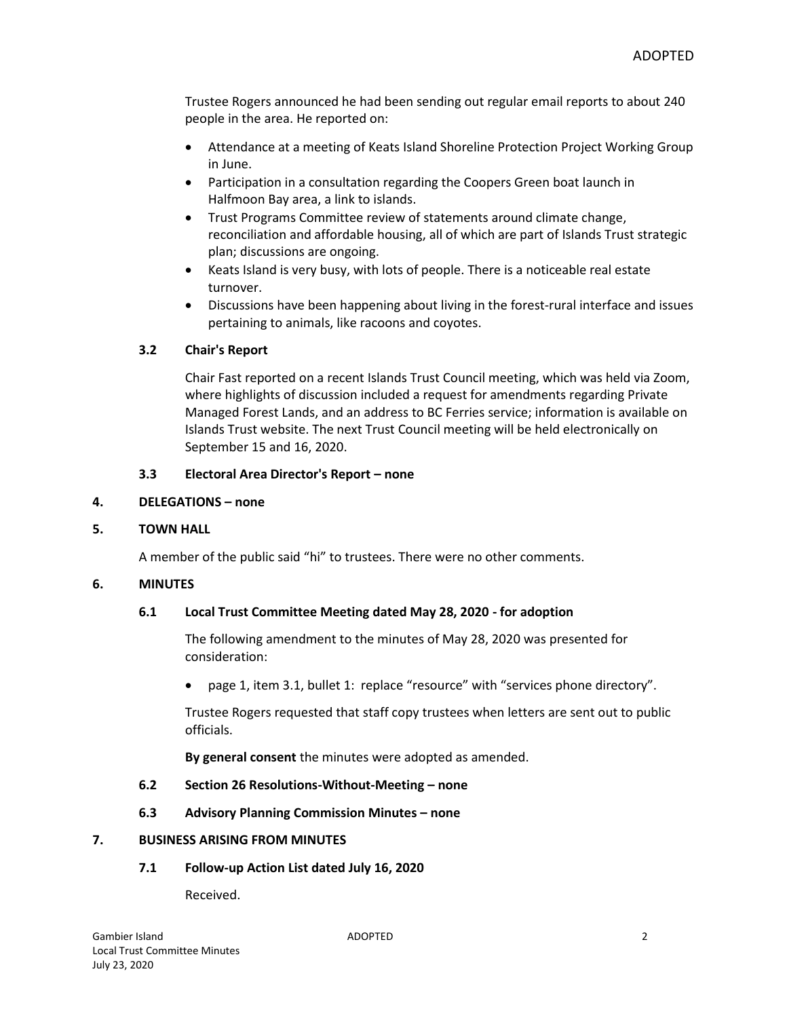Trustee Rogers announced he had been sending out regular email reports to about 240 people in the area. He reported on:

- Attendance at a meeting of Keats Island Shoreline Protection Project Working Group in June.
- Participation in a consultation regarding the Coopers Green boat launch in Halfmoon Bay area, a link to islands.
- Trust Programs Committee review of statements around climate change, reconciliation and affordable housing, all of which are part of Islands Trust strategic plan; discussions are ongoing.
- Keats Island is very busy, with lots of people. There is a noticeable real estate turnover.
- Discussions have been happening about living in the forest-rural interface and issues pertaining to animals, like racoons and coyotes.

# **3.2 Chair's Report**

Chair Fast reported on a recent Islands Trust Council meeting, which was held via Zoom, where highlights of discussion included a request for amendments regarding Private Managed Forest Lands, and an address to BC Ferries service; information is available on Islands Trust website. The next Trust Council meeting will be held electronically on September 15 and 16, 2020.

## **3.3 Electoral Area Director's Report – none**

#### **4. DELEGATIONS – none**

## **5. TOWN HALL**

A member of the public said "hi" to trustees. There were no other comments.

#### **6. MINUTES**

## **6.1 Local Trust Committee Meeting dated May 28, 2020 - for adoption**

The following amendment to the minutes of May 28, 2020 was presented for consideration:

page 1, item 3.1, bullet 1: replace "resource" with "services phone directory".

Trustee Rogers requested that staff copy trustees when letters are sent out to public officials.

**By general consent** the minutes were adopted as amended.

## **6.2 Section 26 Resolutions-Without-Meeting – none**

**6.3 Advisory Planning Commission Minutes – none**

#### **7. BUSINESS ARISING FROM MINUTES**

## **7.1 Follow-up Action List dated July 16, 2020**

Received.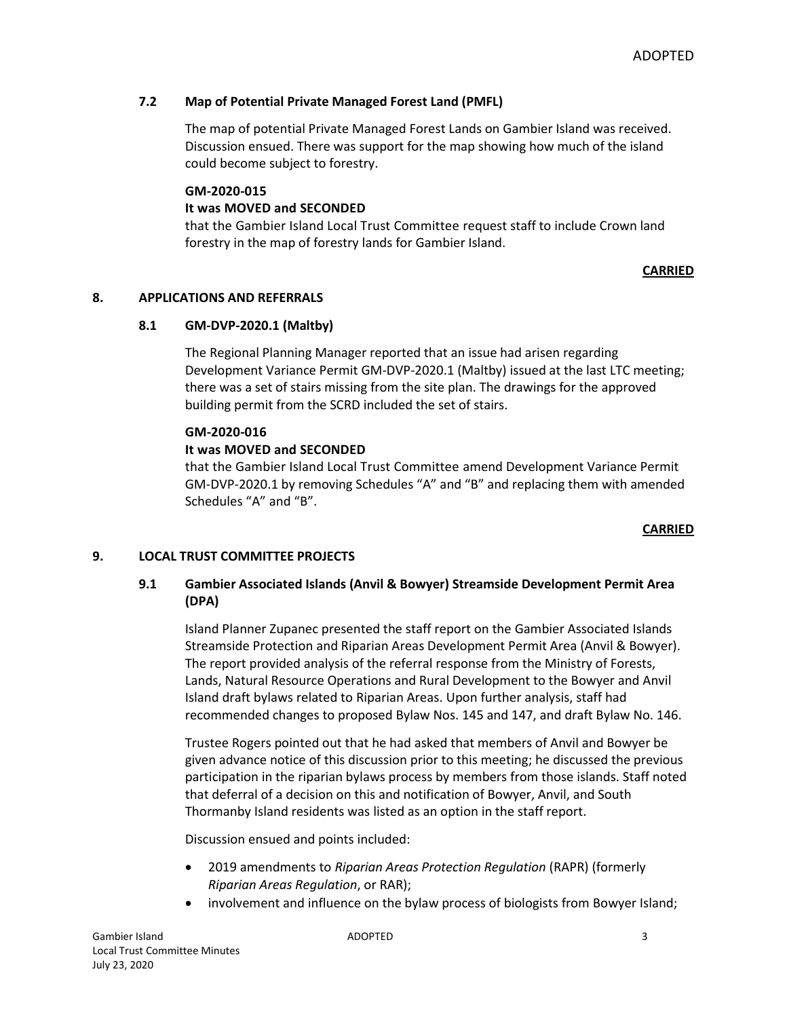# **7.2 Map of Potential Private Managed Forest Land (PMFL)**

The map of potential Private Managed Forest Lands on Gambier Island was received. Discussion ensued. There was support for the map showing how much of the island could become subject to forestry.

#### **GM-2020-015**

# **It was MOVED and SECONDED**

that the Gambier Island Local Trust Committee request staff to include Crown land forestry in the map of forestry lands for Gambier Island.

## **CARRIED**

## **8. APPLICATIONS AND REFERRALS**

## **8.1 GM-DVP-2020.1 (Maltby)**

The Regional Planning Manager reported that an issue had arisen regarding Development Variance Permit GM-DVP-2020.1 (Maltby) issued at the last LTC meeting; there was a set of stairs missing from the site plan. The drawings for the approved building permit from the SCRD included the set of stairs.

#### **GM-2020-016**

# **It was MOVED and SECONDED**

that the Gambier Island Local Trust Committee amend Development Variance Permit GM-DVP-2020.1 by removing Schedules "A" and "B" and replacing them with amended Schedules "A" and "B".

#### **CARRIED**

## **9. LOCAL TRUST COMMITTEE PROJECTS**

# **9.1 Gambier Associated Islands (Anvil & Bowyer) Streamside Development Permit Area (DPA)**

Island Planner Zupanec presented the staff report on the Gambier Associated Islands Streamside Protection and Riparian Areas Development Permit Area (Anvil & Bowyer). The report provided analysis of the referral response from the Ministry of Forests, Lands, Natural Resource Operations and Rural Development to the Bowyer and Anvil Island draft bylaws related to Riparian Areas. Upon further analysis, staff had recommended changes to proposed Bylaw Nos. 145 and 147, and draft Bylaw No. 146.

Trustee Rogers pointed out that he had asked that members of Anvil and Bowyer be given advance notice of this discussion prior to this meeting; he discussed the previous participation in the riparian bylaws process by members from those islands. Staff noted that deferral of a decision on this and notification of Bowyer, Anvil, and South Thormanby Island residents was listed as an option in the staff report.

Discussion ensued and points included:

- 2019 amendments to *Riparian Areas Protection Regulation* (RAPR) (formerly *Riparian Areas Regulation*, or RAR);
- involvement and influence on the bylaw process of biologists from Bowyer Island;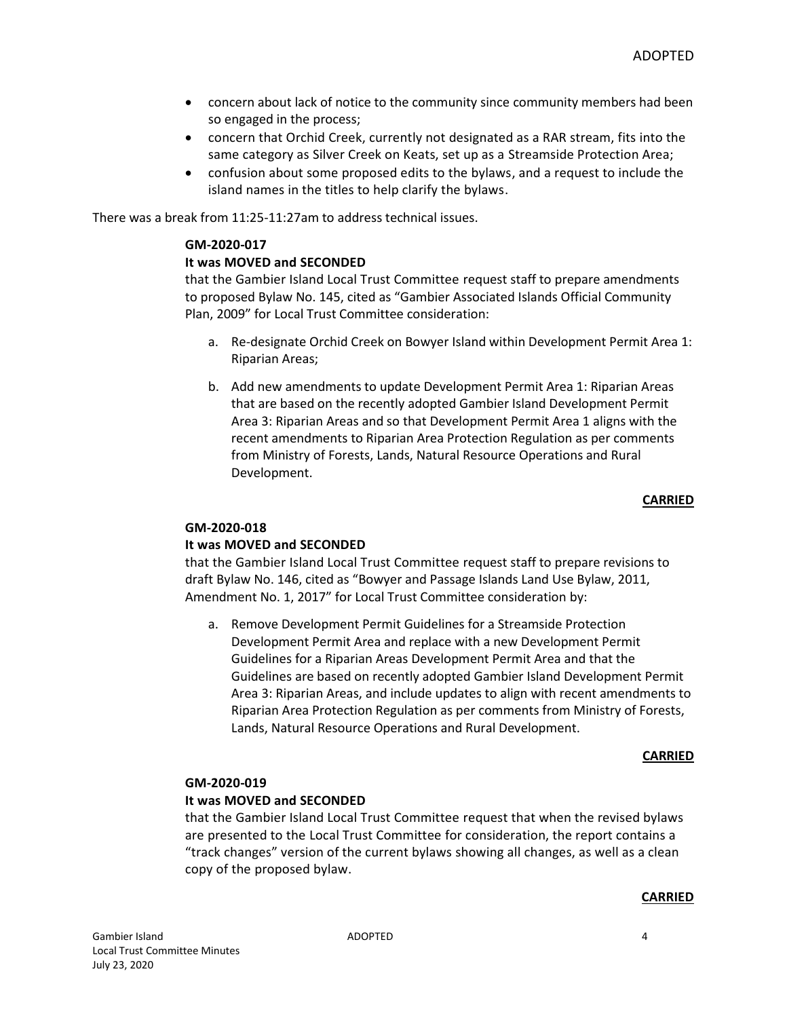- concern about lack of notice to the community since community members had been so engaged in the process;
- concern that Orchid Creek, currently not designated as a RAR stream, fits into the same category as Silver Creek on Keats, set up as a Streamside Protection Area;
- confusion about some proposed edits to the bylaws, and a request to include the island names in the titles to help clarify the bylaws.

There was a break from 11:25-11:27am to address technical issues.

#### **GM-2020-017**

#### **It was MOVED and SECONDED**

that the Gambier Island Local Trust Committee request staff to prepare amendments to proposed Bylaw No. 145, cited as "Gambier Associated Islands Official Community Plan, 2009" for Local Trust Committee consideration:

- a. Re-designate Orchid Creek on Bowyer Island within Development Permit Area 1: Riparian Areas;
- b. Add new amendments to update Development Permit Area 1: Riparian Areas that are based on the recently adopted Gambier Island Development Permit Area 3: Riparian Areas and so that Development Permit Area 1 aligns with the recent amendments to Riparian Area Protection Regulation as per comments from Ministry of Forests, Lands, Natural Resource Operations and Rural Development.

#### **CARRIED**

## **GM-2020-018**

## **It was MOVED and SECONDED**

that the Gambier Island Local Trust Committee request staff to prepare revisions to draft Bylaw No. 146, cited as "Bowyer and Passage Islands Land Use Bylaw, 2011, Amendment No. 1, 2017" for Local Trust Committee consideration by:

a. Remove Development Permit Guidelines for a Streamside Protection Development Permit Area and replace with a new Development Permit Guidelines for a Riparian Areas Development Permit Area and that the Guidelines are based on recently adopted Gambier Island Development Permit Area 3: Riparian Areas, and include updates to align with recent amendments to Riparian Area Protection Regulation as per comments from Ministry of Forests, Lands, Natural Resource Operations and Rural Development.

#### **CARRIED**

#### **GM-2020-019**

## **It was MOVED and SECONDED**

that the Gambier Island Local Trust Committee request that when the revised bylaws are presented to the Local Trust Committee for consideration, the report contains a "track changes" version of the current bylaws showing all changes, as well as a clean copy of the proposed bylaw.

#### **CARRIED**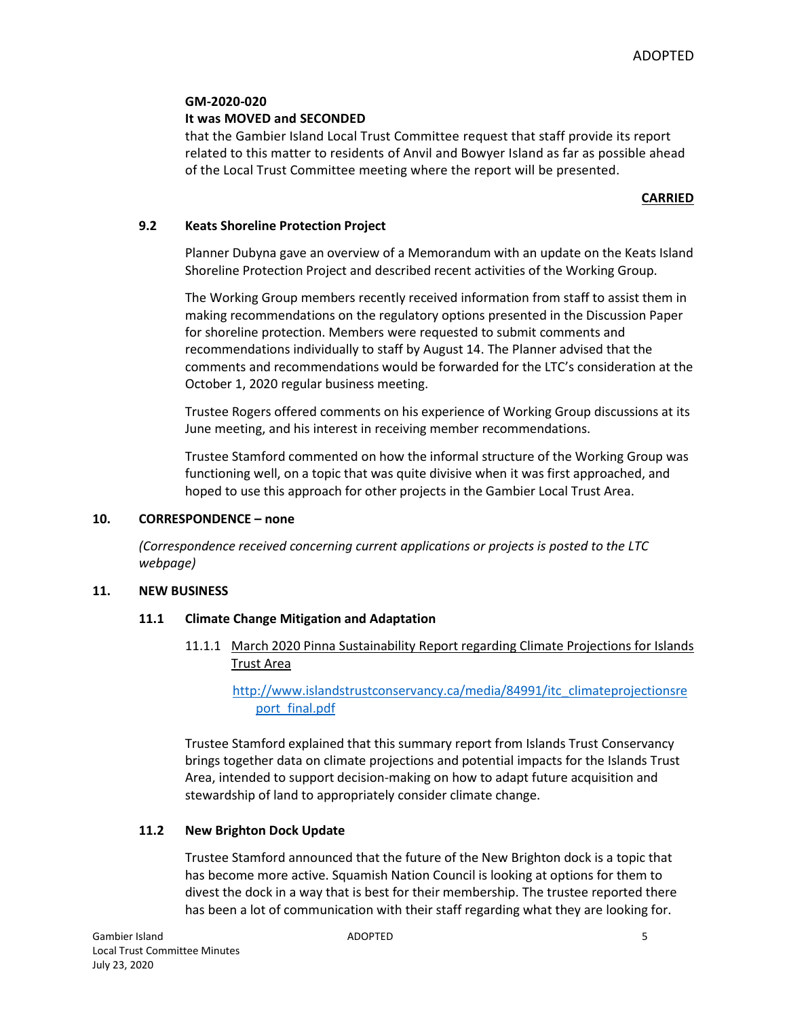## **GM-2020-020**

# **It was MOVED and SECONDED**

that the Gambier Island Local Trust Committee request that staff provide its report related to this matter to residents of Anvil and Bowyer Island as far as possible ahead of the Local Trust Committee meeting where the report will be presented.

# **CARRIED**

# **9.2 Keats Shoreline Protection Project**

Planner Dubyna gave an overview of a Memorandum with an update on the Keats Island Shoreline Protection Project and described recent activities of the Working Group.

The Working Group members recently received information from staff to assist them in making recommendations on the regulatory options presented in the Discussion Paper for shoreline protection. Members were requested to submit comments and recommendations individually to staff by August 14. The Planner advised that the comments and recommendations would be forwarded for the LTC's consideration at the October 1, 2020 regular business meeting.

Trustee Rogers offered comments on his experience of Working Group discussions at its June meeting, and his interest in receiving member recommendations.

Trustee Stamford commented on how the informal structure of the Working Group was functioning well, on a topic that was quite divisive when it was first approached, and hoped to use this approach for other projects in the Gambier Local Trust Area.

## **10. CORRESPONDENCE – none**

*(Correspondence received concerning current applications or projects is posted to the LTC webpage)*

## **11. NEW BUSINESS**

## **11.1 Climate Change Mitigation and Adaptation**

11.1.1 March 2020 Pinna Sustainability Report regarding Climate Projections for Islands Trust Area

[http://www.islandstrustconservancy.ca/media/84991/itc\\_climateprojectionsre](http://www.islandstrustconservancy.ca/media/84991/itc_climateprojectionsreport_final.pdf) [port\\_final.pdf](http://www.islandstrustconservancy.ca/media/84991/itc_climateprojectionsreport_final.pdf)

Trustee Stamford explained that this summary report from Islands Trust Conservancy brings together data on climate projections and potential impacts for the Islands Trust Area, intended to support decision-making on how to adapt future acquisition and stewardship of land to appropriately consider climate change.

# **11.2 New Brighton Dock Update**

Trustee Stamford announced that the future of the New Brighton dock is a topic that has become more active. Squamish Nation Council is looking at options for them to divest the dock in a way that is best for their membership. The trustee reported there has been a lot of communication with their staff regarding what they are looking for.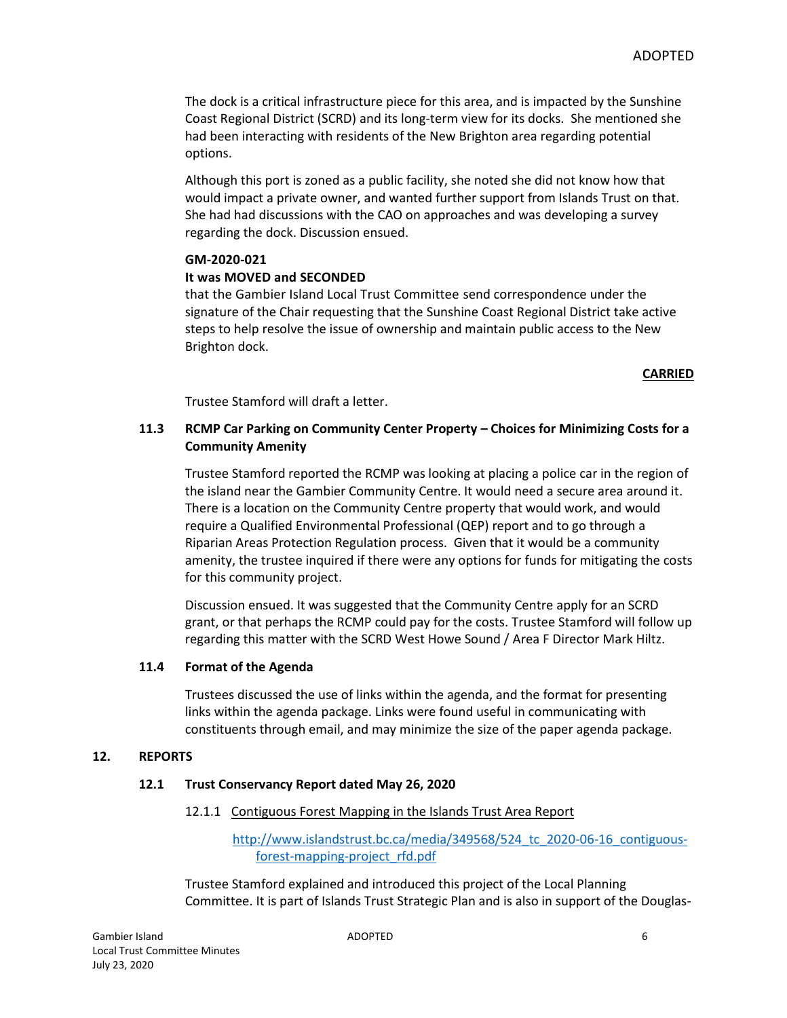The dock is a critical infrastructure piece for this area, and is impacted by the Sunshine Coast Regional District (SCRD) and its long-term view for its docks. She mentioned she had been interacting with residents of the New Brighton area regarding potential options.

Although this port is zoned as a public facility, she noted she did not know how that would impact a private owner, and wanted further support from Islands Trust on that. She had had discussions with the CAO on approaches and was developing a survey regarding the dock. Discussion ensued.

#### **GM-2020-021**

#### **It was MOVED and SECONDED**

that the Gambier Island Local Trust Committee send correspondence under the signature of the Chair requesting that the Sunshine Coast Regional District take active steps to help resolve the issue of ownership and maintain public access to the New Brighton dock.

#### **CARRIED**

Trustee Stamford will draft a letter.

# **11.3 RCMP Car Parking on Community Center Property – Choices for Minimizing Costs for a Community Amenity**

Trustee Stamford reported the RCMP was looking at placing a police car in the region of the island near the Gambier Community Centre. It would need a secure area around it. There is a location on the Community Centre property that would work, and would require a Qualified Environmental Professional (QEP) report and to go through a Riparian Areas Protection Regulation process. Given that it would be a community amenity, the trustee inquired if there were any options for funds for mitigating the costs for this community project.

Discussion ensued. It was suggested that the Community Centre apply for an SCRD grant, or that perhaps the RCMP could pay for the costs. Trustee Stamford will follow up regarding this matter with the SCRD West Howe Sound / Area F Director Mark Hiltz.

#### **11.4 Format of the Agenda**

Trustees discussed the use of links within the agenda, and the format for presenting links within the agenda package. Links were found useful in communicating with constituents through email, and may minimize the size of the paper agenda package.

#### **12. REPORTS**

## **12.1 Trust Conservancy Report dated May 26, 2020**

#### 12.1.1 Contiguous Forest Mapping in the Islands Trust Area Report

[http://www.islandstrust.bc.ca/media/349568/524\\_tc\\_2020-06-16\\_contiguous](http://www.islandstrust.bc.ca/media/349568/524_tc_2020-06-16_contiguous-forest-mapping-project_rfd.pdf)[forest-mapping-project\\_rfd.pdf](http://www.islandstrust.bc.ca/media/349568/524_tc_2020-06-16_contiguous-forest-mapping-project_rfd.pdf)

Trustee Stamford explained and introduced this project of the Local Planning Committee. It is part of Islands Trust Strategic Plan and is also in support of the Douglas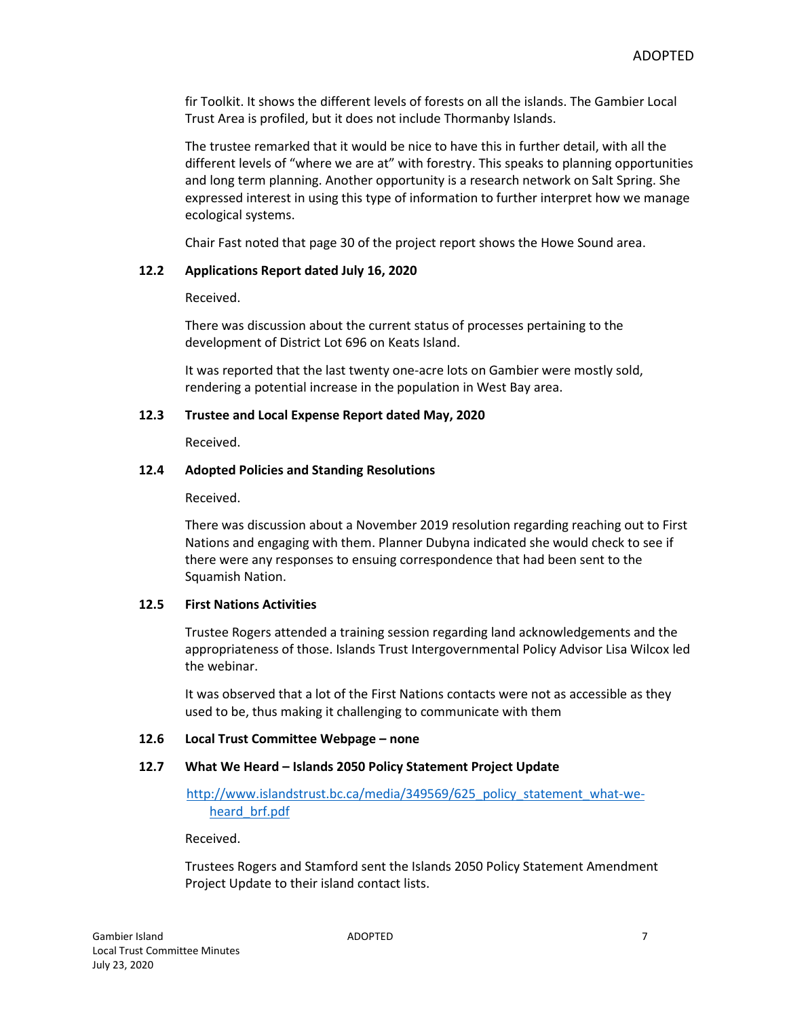fir Toolkit. It shows the different levels of forests on all the islands. The Gambier Local Trust Area is profiled, but it does not include Thormanby Islands.

The trustee remarked that it would be nice to have this in further detail, with all the different levels of "where we are at" with forestry. This speaks to planning opportunities and long term planning. Another opportunity is a research network on Salt Spring. She expressed interest in using this type of information to further interpret how we manage ecological systems.

Chair Fast noted that page 30 of the project report shows the Howe Sound area.

## **12.2 Applications Report dated July 16, 2020**

Received.

There was discussion about the current status of processes pertaining to the development of District Lot 696 on Keats Island.

It was reported that the last twenty one-acre lots on Gambier were mostly sold, rendering a potential increase in the population in West Bay area.

#### **12.3 Trustee and Local Expense Report dated May, 2020**

Received.

#### **12.4 Adopted Policies and Standing Resolutions**

Received.

There was discussion about a November 2019 resolution regarding reaching out to First Nations and engaging with them. Planner Dubyna indicated she would check to see if there were any responses to ensuing correspondence that had been sent to the Squamish Nation.

## **12.5 First Nations Activities**

Trustee Rogers attended a training session regarding land acknowledgements and the appropriateness of those. Islands Trust Intergovernmental Policy Advisor Lisa Wilcox led the webinar.

It was observed that a lot of the First Nations contacts were not as accessible as they used to be, thus making it challenging to communicate with them

## **12.6 Local Trust Committee Webpage – none**

## **12.7 What We Heard – Islands 2050 Policy Statement Project Update**

[http://www.islandstrust.bc.ca/media/349569/625\\_policy\\_statement\\_what-we](http://www.islandstrust.bc.ca/media/349569/625_policy_statement_what-we-heard_brf.pdf)[heard\\_brf.pdf](http://www.islandstrust.bc.ca/media/349569/625_policy_statement_what-we-heard_brf.pdf)

Received.

Trustees Rogers and Stamford sent the Islands 2050 Policy Statement Amendment Project Update to their island contact lists.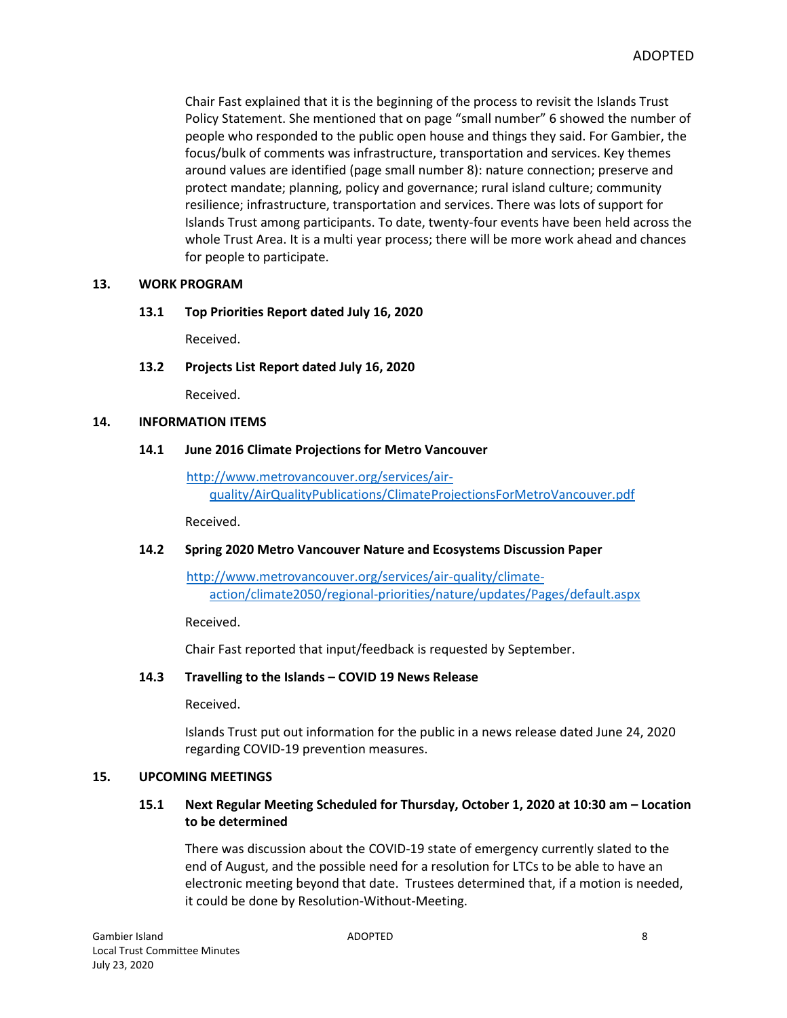Chair Fast explained that it is the beginning of the process to revisit the Islands Trust Policy Statement. She mentioned that on page "small number" 6 showed the number of people who responded to the public open house and things they said. For Gambier, the focus/bulk of comments was infrastructure, transportation and services. Key themes around values are identified (page small number 8): nature connection; preserve and protect mandate; planning, policy and governance; rural island culture; community resilience; infrastructure, transportation and services. There was lots of support for Islands Trust among participants. To date, twenty-four events have been held across the whole Trust Area. It is a multi year process; there will be more work ahead and chances for people to participate.

#### **13. WORK PROGRAM**

#### **13.1 Top Priorities Report dated July 16, 2020**

Received.

#### **13.2 Projects List Report dated July 16, 2020**

Received.

#### **14. INFORMATION ITEMS**

#### **14.1 June 2016 Climate Projections for Metro Vancouver**

[http://www.metrovancouver.org/services/air](http://www.metrovancouver.org/services/air-quality/AirQualityPublications/ClimateProjectionsForMetroVancouver.pdf)[quality/AirQualityPublications/ClimateProjectionsForMetroVancouver.pdf](http://www.metrovancouver.org/services/air-quality/AirQualityPublications/ClimateProjectionsForMetroVancouver.pdf)

Received.

## **14.2 Spring 2020 Metro Vancouver Nature and Ecosystems Discussion Paper**

[http://www.metrovancouver.org/services/air-quality/climate](http://www.metrovancouver.org/services/air-quality/climate-action/climate2050/regional-priorities/nature/updates/Pages/default.aspx)[action/climate2050/regional-priorities/nature/updates/Pages/default.aspx](http://www.metrovancouver.org/services/air-quality/climate-action/climate2050/regional-priorities/nature/updates/Pages/default.aspx)

Received.

Chair Fast reported that input/feedback is requested by September.

## **14.3 Travelling to the Islands – COVID 19 News Release**

Received.

Islands Trust put out information for the public in a news release dated June 24, 2020 regarding COVID-19 prevention measures.

#### **15. UPCOMING MEETINGS**

# **15.1 Next Regular Meeting Scheduled for Thursday, October 1, 2020 at 10:30 am – Location to be determined**

There was discussion about the COVID-19 state of emergency currently slated to the end of August, and the possible need for a resolution for LTCs to be able to have an electronic meeting beyond that date. Trustees determined that, if a motion is needed, it could be done by Resolution-Without-Meeting.